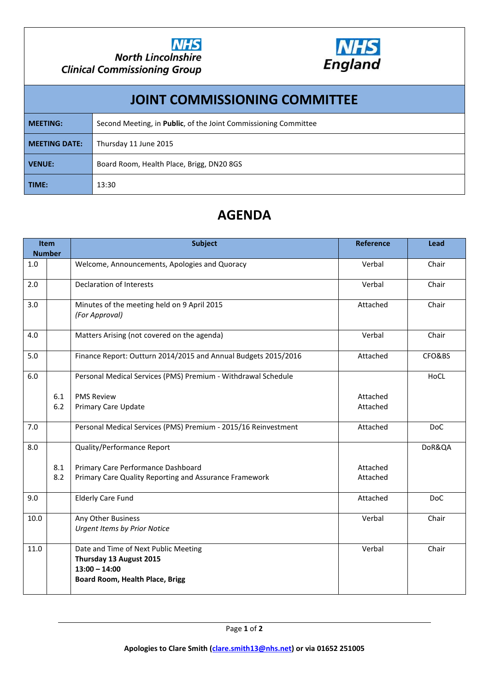



## **JOINT COMMISSIONING COMMITTEE MEETING:** Second Meeting, in **Public**, of the Joint Commissioning Committee **MEETING DATE:** Thursday 11 June 2015 **VENUE:** Board Room, Health Place, Brigg, DN20 8GS **TIME:** 13:30

## **AGENDA**

| <b>Item</b><br><b>Number</b> |     | <b>Subject</b>                                                                                                               | <b>Reference</b> | Lead       |
|------------------------------|-----|------------------------------------------------------------------------------------------------------------------------------|------------------|------------|
| 1.0                          |     | Welcome, Announcements, Apologies and Quoracy                                                                                | Verbal           | Chair      |
| 2.0                          |     | <b>Declaration of Interests</b>                                                                                              | Verbal           | Chair      |
| 3.0                          |     | Minutes of the meeting held on 9 April 2015<br>(For Approval)                                                                | Attached         | Chair      |
| 4.0                          |     | Matters Arising (not covered on the agenda)                                                                                  | Verbal           | Chair      |
| 5.0                          |     | Finance Report: Outturn 2014/2015 and Annual Budgets 2015/2016                                                               | Attached         | CFO&BS     |
| 6.0                          |     | Personal Medical Services (PMS) Premium - Withdrawal Schedule                                                                |                  | HoCL       |
|                              | 6.1 | <b>PMS Review</b>                                                                                                            | Attached         |            |
|                              | 6.2 | <b>Primary Care Update</b>                                                                                                   | Attached         |            |
| 7.0                          |     | Personal Medical Services (PMS) Premium - 2015/16 Reinvestment                                                               | Attached         | <b>DoC</b> |
| 8.0                          |     | <b>Quality/Performance Report</b>                                                                                            |                  | DoR&QA     |
|                              | 8.1 | Primary Care Performance Dashboard                                                                                           | Attached         |            |
|                              | 8.2 | Primary Care Quality Reporting and Assurance Framework                                                                       | Attached         |            |
| 9.0                          |     | <b>Elderly Care Fund</b>                                                                                                     | Attached         | <b>DoC</b> |
| 10.0                         |     | Any Other Business<br><b>Urgent Items by Prior Notice</b>                                                                    | Verbal           | Chair      |
| 11.0                         |     | Date and Time of Next Public Meeting<br>Thursday 13 August 2015<br>$13:00 - 14:00$<br><b>Board Room, Health Place, Brigg</b> | Verbal           | Chair      |